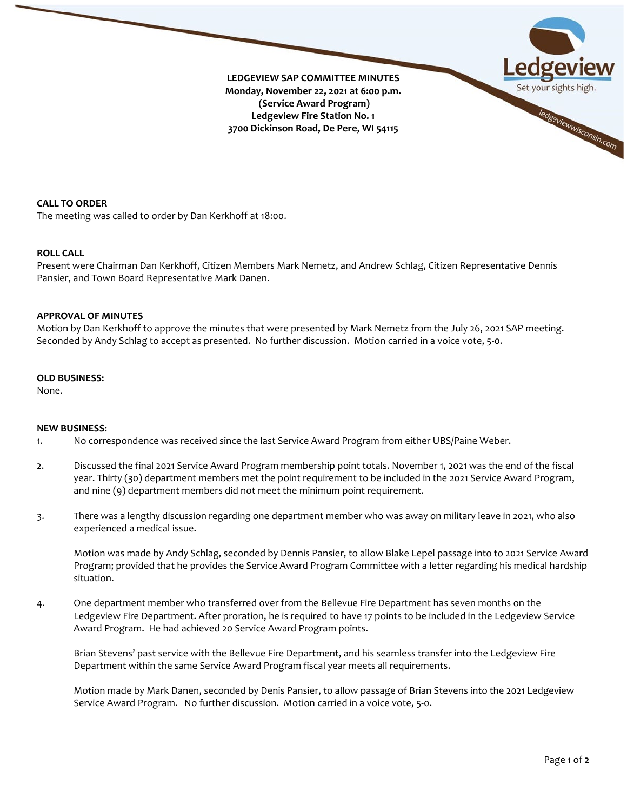

**CALL TO ORDER**

The meeting was called to order by Dan Kerkhoff at 18:00.

### **ROLL CALL**

Present were Chairman Dan Kerkhoff, Citizen Members Mark Nemetz, and Andrew Schlag, Citizen Representative Dennis Pansier, and Town Board Representative Mark Danen.

#### **APPROVAL OF MINUTES**

Motion by Dan Kerkhoff to approve the minutes that were presented by Mark Nemetz from the July 26, 2021 SAP meeting. Seconded by Andy Schlag to accept as presented. No further discussion. Motion carried in a voice vote, 5-0.

#### **OLD BUSINESS:**

None.

#### **NEW BUSINESS:**

- 1. No correspondence was received since the last Service Award Program from either UBS/Paine Weber.
- 2. Discussed the final 2021 Service Award Program membership point totals. November 1, 2021 was the end of the fiscal year. Thirty (30) department members met the point requirement to be included in the 2021 Service Award Program, and nine (9) department members did not meet the minimum point requirement.
- 3. There was a lengthy discussion regarding one department member who was away on military leave in 2021, who also experienced a medical issue.

Motion was made by Andy Schlag, seconded by Dennis Pansier, to allow Blake Lepel passage into to 2021 Service Award Program; provided that he provides the Service Award Program Committee with a letter regarding his medical hardship situation.

4. One department member who transferred over from the Bellevue Fire Department has seven months on the Ledgeview Fire Department. After proration, he is required to have 17 points to be included in the Ledgeview Service Award Program. He had achieved 20 Service Award Program points.

Brian Stevens' past service with the Bellevue Fire Department, and his seamless transfer into the Ledgeview Fire Department within the same Service Award Program fiscal year meets all requirements.

Motion made by Mark Danen, seconded by Denis Pansier, to allow passage of Brian Stevens into the 2021 Ledgeview Service Award Program. No further discussion. Motion carried in a voice vote, 5-0.